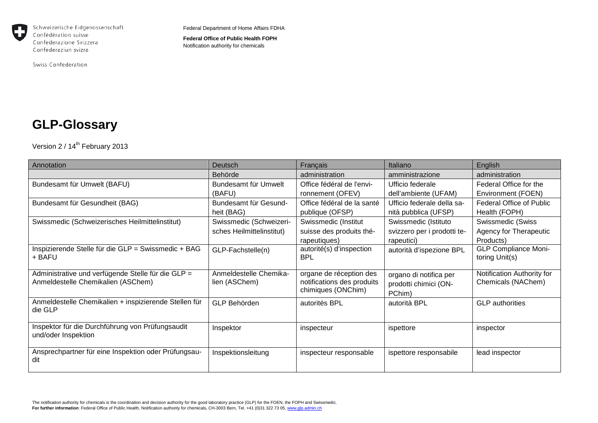

Schweizerische Eidgenossenschaft Confédération suisse Confederazione Svizzera Confederaziun svizra

Swiss Confederation

Federal Department of Home Affairs FDHA

**Federal Office of Public Health FOPH** Notification authority for chemicals

## **GLP-Glossary**

Version 2 / 14<sup>th</sup> February 2013

| Annotation                                                                               | Deutsch                                              | Français                                                                    | Italiano                                                          | English                                                  |
|------------------------------------------------------------------------------------------|------------------------------------------------------|-----------------------------------------------------------------------------|-------------------------------------------------------------------|----------------------------------------------------------|
|                                                                                          | Behörde                                              | administration                                                              | amministrazione                                                   | administration                                           |
| Bundesamt für Umwelt (BAFU)                                                              | Bundesamt für Umwelt<br>(BAFU)                       | Office fédéral de l'envi-<br>ronnement (OFEV)                               | Ufficio federale<br>dell'ambiente (UFAM)                          | Federal Office for the<br>Environment (FOEN)             |
| Bundesamt für Gesundheit (BAG)                                                           | Bundesamt für Gesund-<br>heit (BAG)                  | Office fédéral de la santé<br>publique (OFSP)                               | Ufficio federale della sa-<br>nità pubblica (UFSP)                | <b>Federal Office of Public</b><br>Health (FOPH)         |
| Swissmedic (Schweizerisches Heilmittelinstitut)                                          | Swissmedic (Schweizeri-<br>sches Heilmittelinstitut) | Swissmedic (Institut<br>suisse des produits thé-<br>rapeutiques)            | Swissmedic (Istituto<br>svizzero per i prodotti te-<br>rapeutici) | Swissmedic (Swiss<br>Agency for Therapeutic<br>Products) |
| Inspizierende Stelle für die GLP = Swissmedic + BAG<br>+ BAFU                            | GLP-Fachstelle(n)                                    | autorité(s) d'inspection<br><b>BPL</b>                                      | autorità d'ispezione BPL                                          | <b>GLP Compliance Moni-</b><br>toring Unit(s)            |
| Administrative und verfügende Stelle für die GLP =<br>Anmeldestelle Chemikalien (ASChem) | Anmeldestelle Chemika-<br>lien (ASChem)              | organe de réception des<br>notifications des produits<br>chimiques (ONChim) | organo di notifica per<br>prodotti chimici (ON-<br>PChim)         | Notification Authority for<br>Chemicals (NAChem)         |
| Anmeldestelle Chemikalien + inspizierende Stellen für<br>die GLP                         | GLP Behörden                                         | autorités BPL                                                               | autorità BPL                                                      | <b>GLP</b> authorities                                   |
| Inspektor für die Durchführung von Prüfungsaudit<br>und/oder Inspektion                  | Inspektor                                            | inspecteur                                                                  | ispettore                                                         | inspector                                                |
| Ansprechpartner für eine Inspektion oder Prüfungsau-<br>dit                              | Inspektionsleitung                                   | inspecteur responsable                                                      | ispettore responsabile                                            | lead inspector                                           |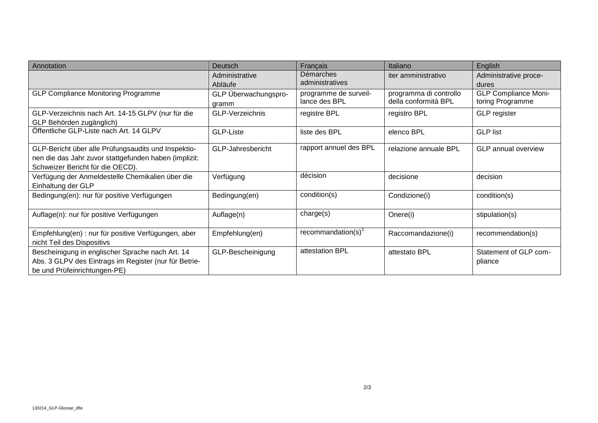| Annotation                                                                                                                                       | <b>Deutsch</b>                | <b>Français</b>                        | Italiano                                       | <b>English</b>                                  |
|--------------------------------------------------------------------------------------------------------------------------------------------------|-------------------------------|----------------------------------------|------------------------------------------------|-------------------------------------------------|
|                                                                                                                                                  | Administrative<br>Abläufe     | Démarches<br>administratives           | iter amministrativo                            | Administrative proce-<br>dures                  |
| <b>GLP Compliance Monitoring Programme</b>                                                                                                       | GLP Überwachungspro-<br>gramm | programme de surveil-<br>lance des BPL | programma di controllo<br>della conformità BPL | <b>GLP Compliance Moni-</b><br>toring Programme |
| GLP-Verzeichnis nach Art. 14-15 GLPV (nur für die<br>GLP Behörden zugänglich)                                                                    | <b>GLP-Verzeichnis</b>        | registre BPL                           | registro BPL                                   | <b>GLP</b> register                             |
| Öffentliche GLP-Liste nach Art. 14 GLPV                                                                                                          | GLP-Liste                     | liste des BPL                          | elenco BPL                                     | <b>GLP list</b>                                 |
| GLP-Bericht über alle Prüfungsaudits und Inspektio-<br>nen die das Jahr zuvor stattgefunden haben (implizit:<br>Schweizer Bericht für die OECD). | GLP-Jahresbericht             | rapport annuel des BPL                 | relazione annuale BPL                          | <b>GLP</b> annual overview                      |
| Verfügung der Anmeldestelle Chemikalien über die<br>Einhaltung der GLP                                                                           | Verfügung                     | décision                               | decisione                                      | decision                                        |
| Bedingung(en): nur für positive Verfügungen                                                                                                      | Bedingung(en)                 | condition(s)                           | Condizione(i)                                  | condition(s)                                    |
| Auflage(n): nur für positive Verfügungen                                                                                                         | Auflage(n)                    | charge(s)                              | Onere(i)                                       | stipulation(s)                                  |
| Empfehlung(en) : nur für positive Verfügungen, aber<br>nicht Teil des Dispositivs                                                                | Empfehlung(en)                | recommandation(s)                      | Raccomandazione(i)                             | recommendation(s)                               |
| Bescheinigung in englischer Sprache nach Art. 14<br>Abs. 3 GLPV des Eintrags im Register (nur für Betrie-<br>be und Prüfeinrichtungen-PE)        | GLP-Bescheinigung             | attestation BPL                        | attestato BPL                                  | Statement of GLP com-<br>pliance                |